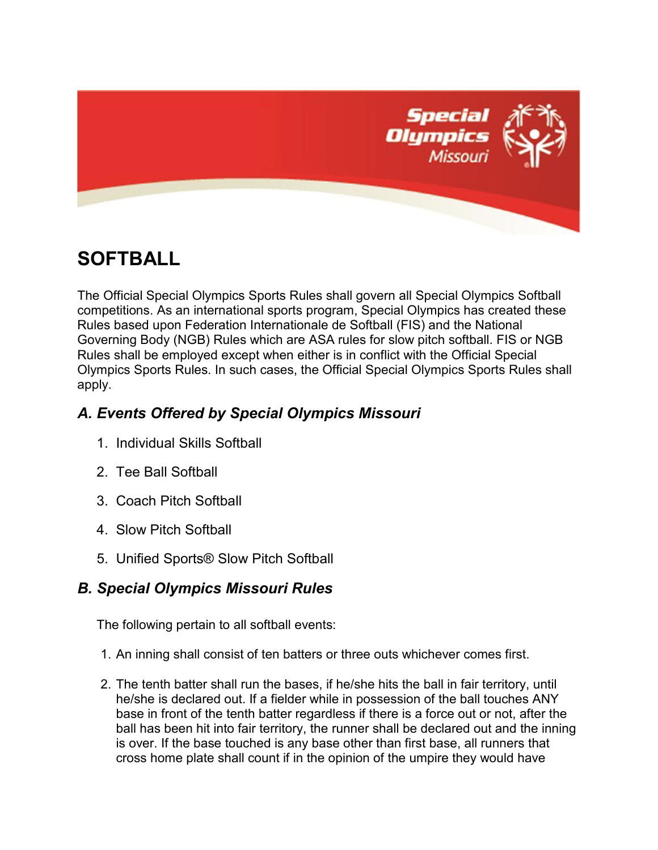

# **SOFTBALL**

The Official Special Olympics Sports Rules shall govern all Special Olympics Softball competitions. As an international sports program, Special Olympics has created these Rules based upon Federation Internationale de Softball (FIS) and the National Governing Body (NGB) Rules which are ASA rules for slow pitch softball. FIS or NGB Rules shall be employed except when either is in conflict with the Official Special Olympics Sports Rules. In such cases, the Official Special Olympics Sports Rules shall apply.

## *A. Events Offered by Special Olympics Missouri*

- 1. Individual Skills Softball
- 2. Tee Ball Softball
- 3. Coach Pitch Softball
- 4. Slow Pitch Softball
- 5. Unified Sports® Slow Pitch Softball

## *B. Special Olympics Missouri Rules*

The following pertain to all softball events:

- 1. An inning shall consist of ten batters or three outs whichever comes first.
- 2. The tenth batter shall run the bases, if he/she hits the ball in fair territory, until he/she is declared out. If a fielder while in possession of the ball touches ANY base in front of the tenth batter regardless if there is a force out or not, after the ball has been hit into fair territory, the runner shall be declared out and the inning is over. If the base touched is any base other than first base, all runners that cross home plate shall count if in the opinion of the umpire they would have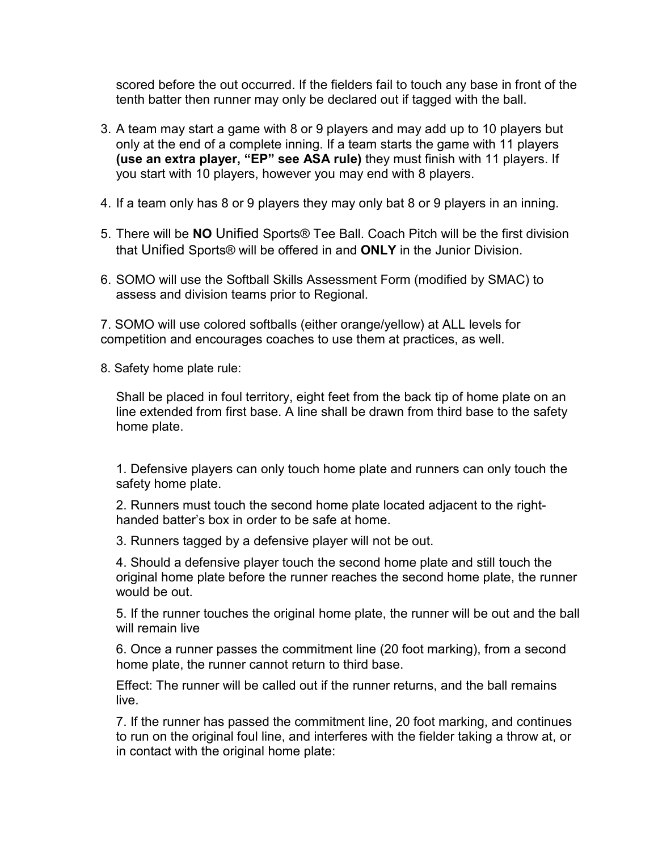scored before the out occurred. If the fielders fail to touch any base in front of the tenth batter then runner may only be declared out if tagged with the ball.

- 3. A team may start a game with 8 or 9 players and may add up to 10 players but only at the end of a complete inning. If a team starts the game with 11 players **(use an extra player, "EP" see ASA rule)** they must finish with 11 players. If you start with 10 players, however you may end with 8 players.
- 4. If a team only has 8 or 9 players they may only bat 8 or 9 players in an inning.
- 5. There will be **NO** Unified Sports® Tee Ball. Coach Pitch will be the first division that Unified Sports® will be offered in and **ONLY** in the Junior Division.
- 6. SOMO will use the Softball Skills Assessment Form (modified by SMAC) to assess and division teams prior to Regional.

7. SOMO will use colored softballs (either orange/yellow) at ALL levels for competition and encourages coaches to use them at practices, as well.

8. Safety home plate rule:

Shall be placed in foul territory, eight feet from the back tip of home plate on an line extended from first base. A line shall be drawn from third base to the safety home plate.

1. Defensive players can only touch home plate and runners can only touch the safety home plate.

2. Runners must touch the second home plate located adjacent to the righthanded batter's box in order to be safe at home.

3. Runners tagged by a defensive player will not be out.

4. Should a defensive player touch the second home plate and still touch the original home plate before the runner reaches the second home plate, the runner would be out.

5. If the runner touches the original home plate, the runner will be out and the ball will remain live

6. Once a runner passes the commitment line (20 foot marking), from a second home plate, the runner cannot return to third base.

Effect: The runner will be called out if the runner returns, and the ball remains live.

7. If the runner has passed the commitment line, 20 foot marking, and continues to run on the original foul line, and interferes with the fielder taking a throw at, or in contact with the original home plate: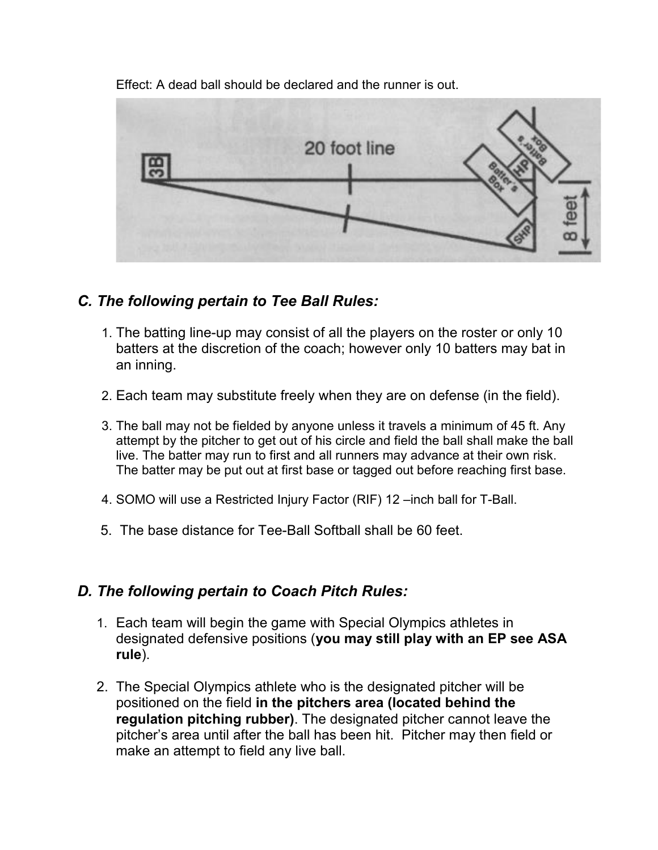20 foot line

Effect: A dead ball should be declared and the runner is out.

### *C. The following pertain to Tee Ball Rules:*

- 1. The batting line-up may consist of all the players on the roster or only 10 batters at the discretion of the coach; however only 10 batters may bat in an inning.
- 2. Each team may substitute freely when they are on defense (in the field).
- 3. The ball may not be fielded by anyone unless it travels a minimum of 45 ft. Any attempt by the pitcher to get out of his circle and field the ball shall make the ball live. The batter may run to first and all runners may advance at their own risk. The batter may be put out at first base or tagged out before reaching first base.
- 4. SOMO will use a Restricted Injury Factor (RIF) 12 –inch ball for T-Ball.
- 5. The base distance for Tee-Ball Softball shall be 60 feet.

## *D. The following pertain to Coach Pitch Rules:*

- 1. Each team will begin the game with Special Olympics athletes in designated defensive positions (**you may still play with an EP see ASA rule**).
- 2. The Special Olympics athlete who is the designated pitcher will be positioned on the field **in the pitchers area (located behind the regulation pitching rubber)**. The designated pitcher cannot leave the pitcher's area until after the ball has been hit. Pitcher may then field or make an attempt to field any live ball.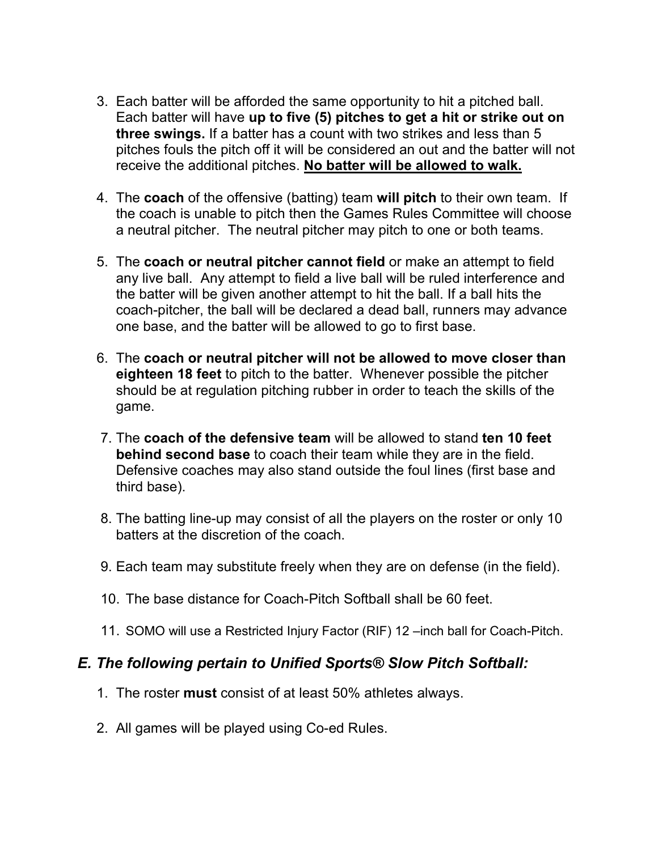- 3. Each batter will be afforded the same opportunity to hit a pitched ball. Each batter will have **up to five (5) pitches to get a hit or strike out on three swings.** If a batter has a count with two strikes and less than 5 pitches fouls the pitch off it will be considered an out and the batter will not receive the additional pitches. **No batter will be allowed to walk.**
- 4. The **coach** of the offensive (batting) team **will pitch** to their own team. If the coach is unable to pitch then the Games Rules Committee will choose a neutral pitcher. The neutral pitcher may pitch to one or both teams.
- 5. The **coach or neutral pitcher cannot field** or make an attempt to field any live ball. Any attempt to field a live ball will be ruled interference and the batter will be given another attempt to hit the ball. If a ball hits the coach-pitcher, the ball will be declared a dead ball, runners may advance one base, and the batter will be allowed to go to first base.
- 6. The **coach or neutral pitcher will not be allowed to move closer than eighteen 18 feet** to pitch to the batter. Whenever possible the pitcher should be at regulation pitching rubber in order to teach the skills of the game.
- 7. The **coach of the defensive team** will be allowed to stand **ten 10 feet behind second base** to coach their team while they are in the field. Defensive coaches may also stand outside the foul lines (first base and third base).
- 8. The batting line-up may consist of all the players on the roster or only 10 batters at the discretion of the coach.
- 9. Each team may substitute freely when they are on defense (in the field).
- 10. The base distance for Coach-Pitch Softball shall be 60 feet.
- 11. SOMO will use a Restricted Injury Factor (RIF) 12 –inch ball for Coach-Pitch.

#### *E. The following pertain to Unified Sports® Slow Pitch Softball:*

- 1. The roster **must** consist of at least 50% athletes always.
- 2. All games will be played using Co-ed Rules.